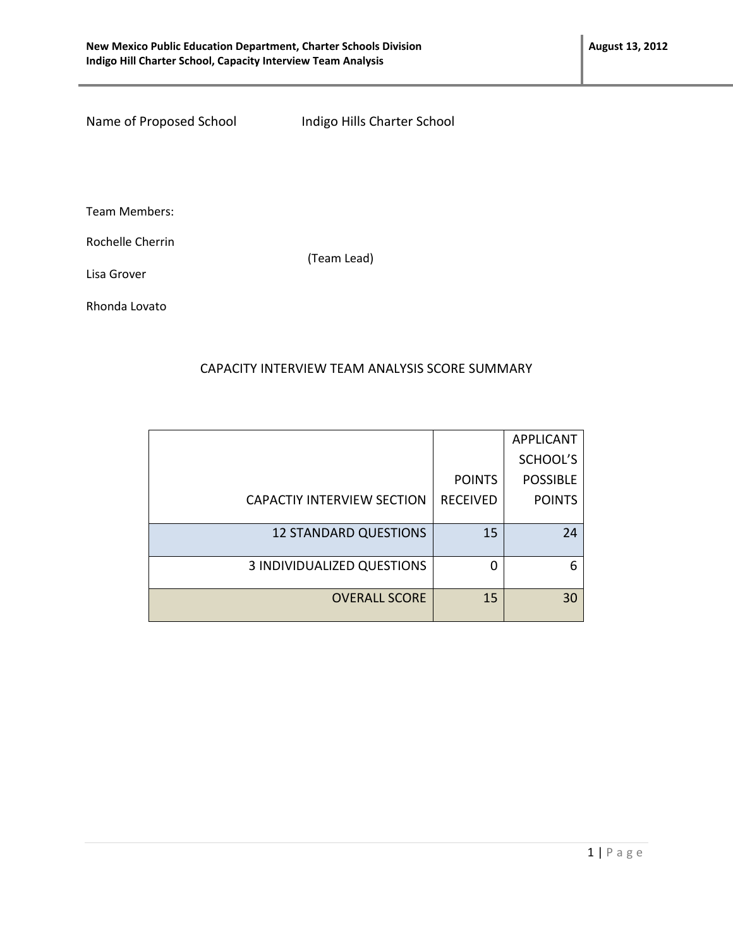Name of Proposed School Indigo Hills Charter School

Team Members:

Rochelle Cherrin

(Team Lead)

Lisa Grover

Rhonda Lovato

## CAPACITY INTERVIEW TEAM ANALYSIS SCORE SUMMARY

|                                   |                 | <b>APPLICANT</b> |
|-----------------------------------|-----------------|------------------|
|                                   |                 | SCHOOL'S         |
|                                   | <b>POINTS</b>   | <b>POSSIBLE</b>  |
| <b>CAPACTIY INTERVIEW SECTION</b> | <b>RECEIVED</b> | <b>POINTS</b>    |
|                                   |                 |                  |
| <b>12 STANDARD QUESTIONS</b>      | 15              | 24               |
|                                   |                 |                  |
| <b>3 INDIVIDUALIZED QUESTIONS</b> | O               | 6                |
|                                   |                 |                  |
| <b>OVERALL SCORE</b>              | 15              | 30               |
|                                   |                 |                  |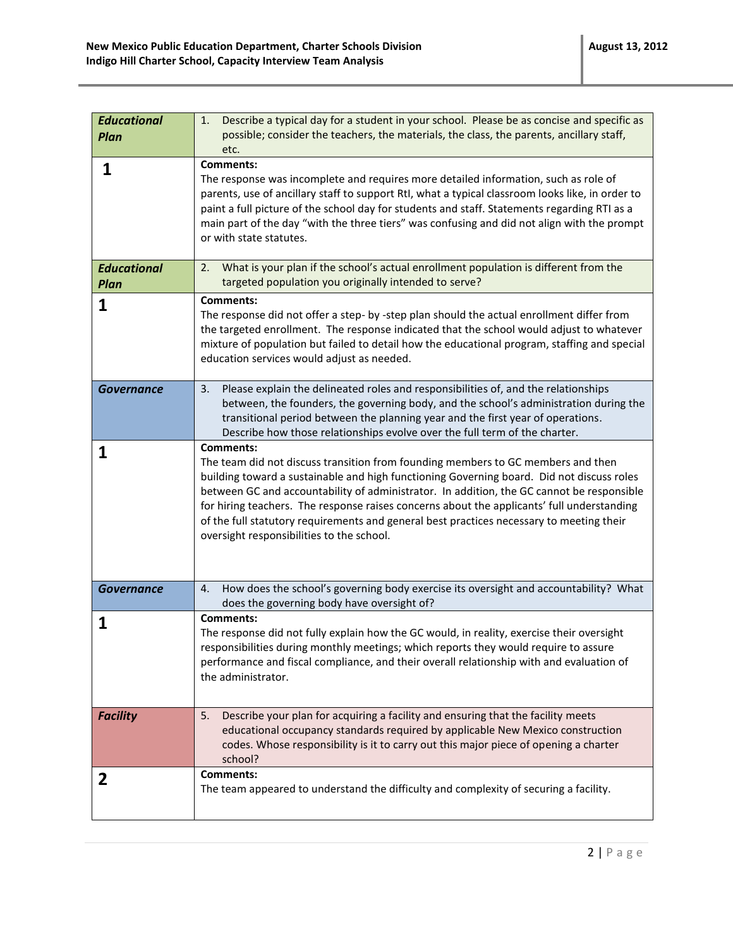| <b>Educational</b><br><b>Plan</b> | Describe a typical day for a student in your school. Please be as concise and specific as<br>1.<br>possible; consider the teachers, the materials, the class, the parents, ancillary staff,<br>etc.                                                                                                                                                                                                                                                                                                                                   |
|-----------------------------------|---------------------------------------------------------------------------------------------------------------------------------------------------------------------------------------------------------------------------------------------------------------------------------------------------------------------------------------------------------------------------------------------------------------------------------------------------------------------------------------------------------------------------------------|
| 1                                 | <b>Comments:</b><br>The response was incomplete and requires more detailed information, such as role of<br>parents, use of ancillary staff to support RtI, what a typical classroom looks like, in order to<br>paint a full picture of the school day for students and staff. Statements regarding RTI as a<br>main part of the day "with the three tiers" was confusing and did not align with the prompt<br>or with state statutes.                                                                                                 |
| <b>Educational</b><br><b>Plan</b> | What is your plan if the school's actual enrollment population is different from the<br>2.<br>targeted population you originally intended to serve?                                                                                                                                                                                                                                                                                                                                                                                   |
| 1                                 | <b>Comments:</b><br>The response did not offer a step- by -step plan should the actual enrollment differ from<br>the targeted enrollment. The response indicated that the school would adjust to whatever<br>mixture of population but failed to detail how the educational program, staffing and special<br>education services would adjust as needed.                                                                                                                                                                               |
| <b>Governance</b>                 | Please explain the delineated roles and responsibilities of, and the relationships<br>3.<br>between, the founders, the governing body, and the school's administration during the<br>transitional period between the planning year and the first year of operations.<br>Describe how those relationships evolve over the full term of the charter.                                                                                                                                                                                    |
| 1                                 | <b>Comments:</b><br>The team did not discuss transition from founding members to GC members and then<br>building toward a sustainable and high functioning Governing board. Did not discuss roles<br>between GC and accountability of administrator. In addition, the GC cannot be responsible<br>for hiring teachers. The response raises concerns about the applicants' full understanding<br>of the full statutory requirements and general best practices necessary to meeting their<br>oversight responsibilities to the school. |
| <b>Governance</b>                 | How does the school's governing body exercise its oversight and accountability? What<br>4.<br>does the governing body have oversight of?                                                                                                                                                                                                                                                                                                                                                                                              |
| 1                                 | <b>Comments:</b><br>The response did not fully explain how the GC would, in reality, exercise their oversight<br>responsibilities during monthly meetings; which reports they would require to assure<br>performance and fiscal compliance, and their overall relationship with and evaluation of<br>the administrator.                                                                                                                                                                                                               |
| <b>Facility</b>                   | Describe your plan for acquiring a facility and ensuring that the facility meets<br>5.<br>educational occupancy standards required by applicable New Mexico construction<br>codes. Whose responsibility is it to carry out this major piece of opening a charter<br>school?                                                                                                                                                                                                                                                           |
| 2                                 | <b>Comments:</b><br>The team appeared to understand the difficulty and complexity of securing a facility.                                                                                                                                                                                                                                                                                                                                                                                                                             |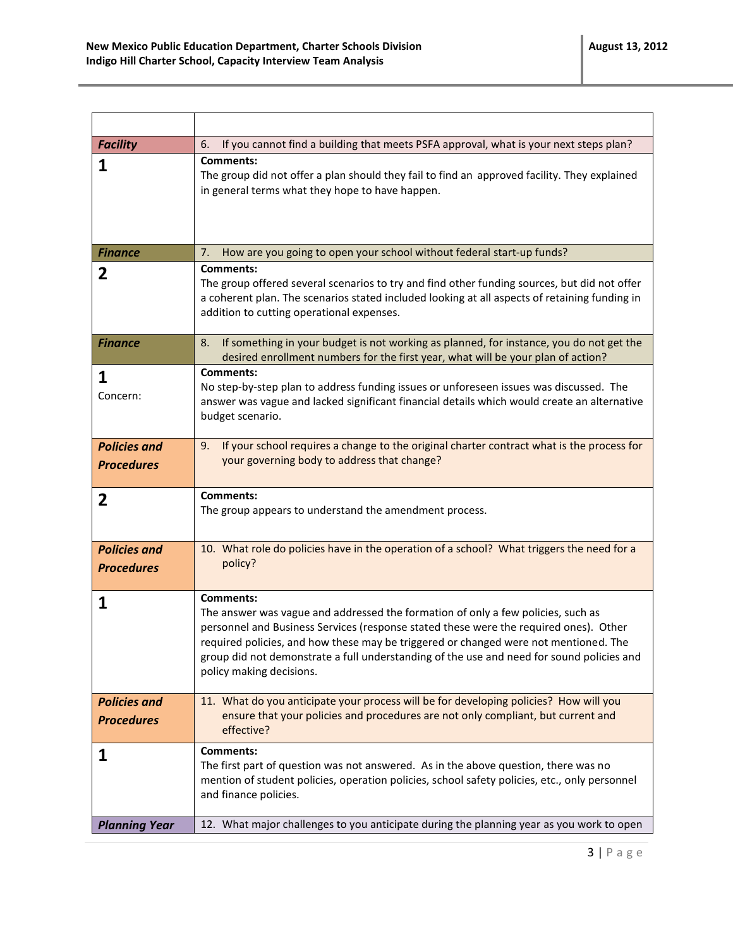| <b>Facility</b>                          | If you cannot find a building that meets PSFA approval, what is your next steps plan?<br>6.                                                                                                                                                                                                                                                                                                                    |
|------------------------------------------|----------------------------------------------------------------------------------------------------------------------------------------------------------------------------------------------------------------------------------------------------------------------------------------------------------------------------------------------------------------------------------------------------------------|
| 1                                        | <b>Comments:</b><br>The group did not offer a plan should they fail to find an approved facility. They explained<br>in general terms what they hope to have happen.                                                                                                                                                                                                                                            |
| <b>Finance</b>                           | How are you going to open your school without federal start-up funds?<br>7.                                                                                                                                                                                                                                                                                                                                    |
| 2                                        | Comments:<br>The group offered several scenarios to try and find other funding sources, but did not offer<br>a coherent plan. The scenarios stated included looking at all aspects of retaining funding in<br>addition to cutting operational expenses.                                                                                                                                                        |
| <b>Finance</b>                           | If something in your budget is not working as planned, for instance, you do not get the<br>8.<br>desired enrollment numbers for the first year, what will be your plan of action?                                                                                                                                                                                                                              |
| 1<br>Concern:                            | <b>Comments:</b><br>No step-by-step plan to address funding issues or unforeseen issues was discussed. The<br>answer was vague and lacked significant financial details which would create an alternative<br>budget scenario.                                                                                                                                                                                  |
| <b>Policies and</b><br><b>Procedures</b> | If your school requires a change to the original charter contract what is the process for<br>9.<br>your governing body to address that change?                                                                                                                                                                                                                                                                 |
| 2                                        | <b>Comments:</b><br>The group appears to understand the amendment process.                                                                                                                                                                                                                                                                                                                                     |
| <b>Policies and</b><br><b>Procedures</b> | 10. What role do policies have in the operation of a school? What triggers the need for a<br>policy?                                                                                                                                                                                                                                                                                                           |
| 1                                        | <b>Comments:</b><br>The answer was vague and addressed the formation of only a few policies, such as<br>personnel and Business Services (response stated these were the required ones). Other<br>required policies, and how these may be triggered or changed were not mentioned. The<br>group did not demonstrate a full understanding of the use and need for sound policies and<br>policy making decisions. |
| <b>Policies and</b><br><b>Procedures</b> | 11. What do you anticipate your process will be for developing policies? How will you<br>ensure that your policies and procedures are not only compliant, but current and<br>effective?                                                                                                                                                                                                                        |
| 1                                        | <b>Comments:</b><br>The first part of question was not answered. As in the above question, there was no<br>mention of student policies, operation policies, school safety policies, etc., only personnel<br>and finance policies.                                                                                                                                                                              |
|                                          |                                                                                                                                                                                                                                                                                                                                                                                                                |